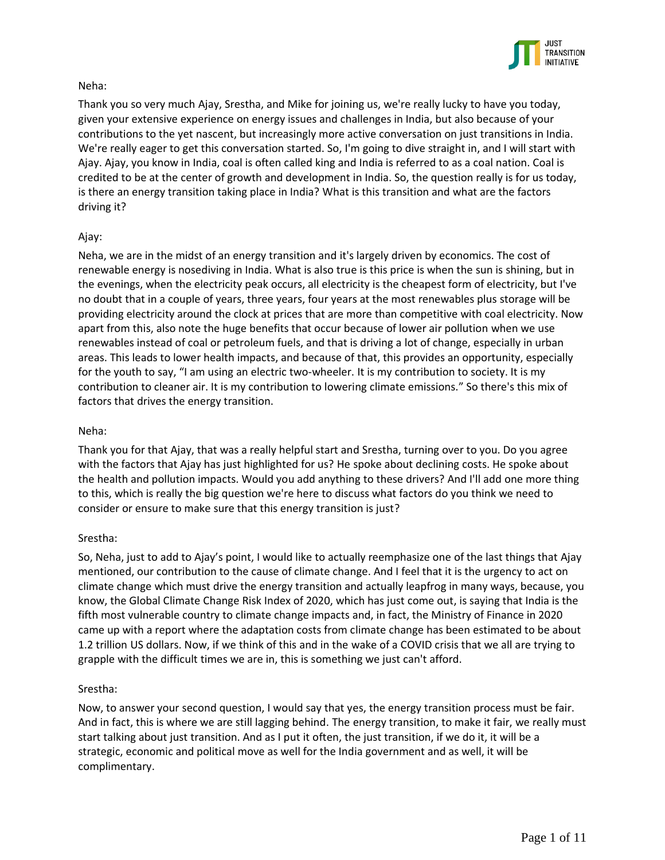

# Neha:

Thank you so very much Ajay, Srestha, and Mike for joining us, we're really lucky to have you today, given your extensive experience on energy issues and challenges in India, but also because of your contributions to the yet nascent, but increasingly more active conversation on just transitions in India. We're really eager to get this conversation started. So, I'm going to dive straight in, and I will start with Ajay. Ajay, you know in India, coal is often called king and India is referred to as a coal nation. Coal is credited to be at the center of growth and development in India. So, the question really is for us today, is there an energy transition taking place in India? What is this transition and what are the factors driving it?

# Ajay:

Neha, we are in the midst of an energy transition and it's largely driven by economics. The cost of renewable energy is nosediving in India. What is also true is this price is when the sun is shining, but in the evenings, when the electricity peak occurs, all electricity is the cheapest form of electricity, but I've no doubt that in a couple of years, three years, four years at the most renewables plus storage will be providing electricity around the clock at prices that are more than competitive with coal electricity. Now apart from this, also note the huge benefits that occur because of lower air pollution when we use renewables instead of coal or petroleum fuels, and that is driving a lot of change, especially in urban areas. This leads to lower health impacts, and because of that, this provides an opportunity, especially for the youth to say, "I am using an electric two-wheeler. It is my contribution to society. It is my contribution to cleaner air. It is my contribution to lowering climate emissions." So there's this mix of factors that drives the energy transition.

# Neha:

Thank you for that Ajay, that was a really helpful start and Srestha, turning over to you. Do you agree with the factors that Ajay has just highlighted for us? He spoke about declining costs. He spoke about the health and pollution impacts. Would you add anything to these drivers? And I'll add one more thing to this, which is really the big question we're here to discuss what factors do you think we need to consider or ensure to make sure that this energy transition is just?

## Srestha:

So, Neha, just to add to Ajay's point, I would like to actually reemphasize one of the last things that Ajay mentioned, our contribution to the cause of climate change. And I feel that it is the urgency to act on climate change which must drive the energy transition and actually leapfrog in many ways, because, you know, the Global Climate Change Risk Index of 2020, which has just come out, is saying that India is the fifth most vulnerable country to climate change impacts and, in fact, the Ministry of Finance in 2020 came up with a report where the adaptation costs from climate change has been estimated to be about 1.2 trillion US dollars. Now, if we think of this and in the wake of a COVID crisis that we all are trying to grapple with the difficult times we are in, this is something we just can't afford.

## Srestha:

Now, to answer your second question, I would say that yes, the energy transition process must be fair. And in fact, this is where we are still lagging behind. The energy transition, to make it fair, we really must start talking about just transition. And as I put it often, the just transition, if we do it, it will be a strategic, economic and political move as well for the India government and as well, it will be complimentary.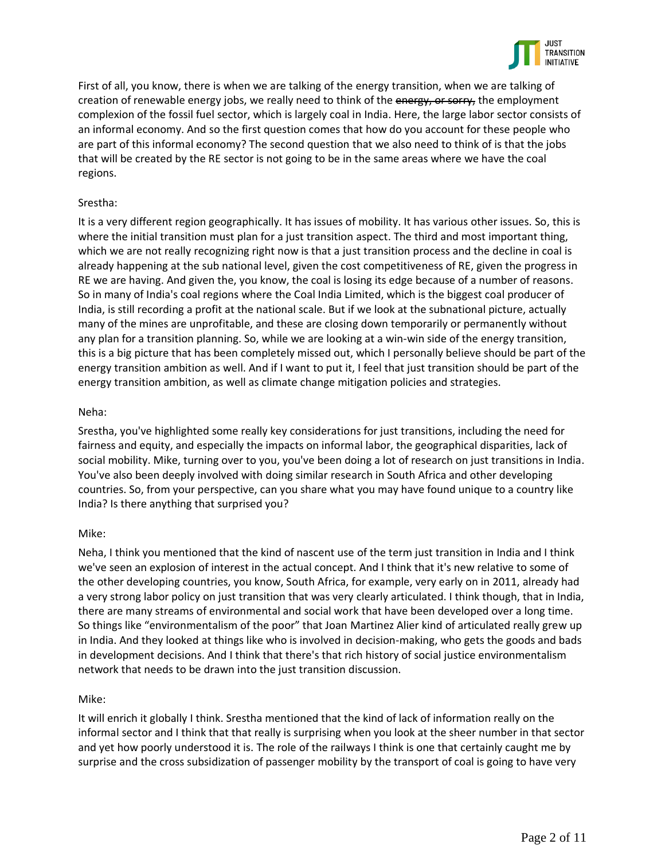

First of all, you know, there is when we are talking of the energy transition, when we are talking of creation of renewable energy jobs, we really need to think of the energy, or sorry, the employment complexion of the fossil fuel sector, which is largely coal in India. Here, the large labor sector consists of an informal economy. And so the first question comes that how do you account for these people who are part of this informal economy? The second question that we also need to think of is that the jobs that will be created by the RE sector is not going to be in the same areas where we have the coal regions.

# Srestha:

It is a very different region geographically. It has issues of mobility. It has various other issues. So, this is where the initial transition must plan for a just transition aspect. The third and most important thing, which we are not really recognizing right now is that a just transition process and the decline in coal is already happening at the sub national level, given the cost competitiveness of RE, given the progress in RE we are having. And given the, you know, the coal is losing its edge because of a number of reasons. So in many of India's coal regions where the Coal India Limited, which is the biggest coal producer of India, is still recording a profit at the national scale. But if we look at the subnational picture, actually many of the mines are unprofitable, and these are closing down temporarily or permanently without any plan for a transition planning. So, while we are looking at a win-win side of the energy transition, this is a big picture that has been completely missed out, which I personally believe should be part of the energy transition ambition as well. And if I want to put it, I feel that just transition should be part of the energy transition ambition, as well as climate change mitigation policies and strategies.

# Neha:

Srestha, you've highlighted some really key considerations for just transitions, including the need for fairness and equity, and especially the impacts on informal labor, the geographical disparities, lack of social mobility. Mike, turning over to you, you've been doing a lot of research on just transitions in India. You've also been deeply involved with doing similar research in South Africa and other developing countries. So, from your perspective, can you share what you may have found unique to a country like India? Is there anything that surprised you?

## Mike:

Neha, I think you mentioned that the kind of nascent use of the term just transition in India and I think we've seen an explosion of interest in the actual concept. And I think that it's new relative to some of the other developing countries, you know, South Africa, for example, very early on in 2011, already had a very strong labor policy on just transition that was very clearly articulated. I think though, that in India, there are many streams of environmental and social work that have been developed over a long time. So things like "environmentalism of the poor" that Joan Martinez Alier kind of articulated really grew up in India. And they looked at things like who is involved in decision-making, who gets the goods and bads in development decisions. And I think that there's that rich history of social justice environmentalism network that needs to be drawn into the just transition discussion.

## Mike:

It will enrich it globally I think. Srestha mentioned that the kind of lack of information really on the informal sector and I think that that really is surprising when you look at the sheer number in that sector and yet how poorly understood it is. The role of the railways I think is one that certainly caught me by surprise and the cross subsidization of passenger mobility by the transport of coal is going to have very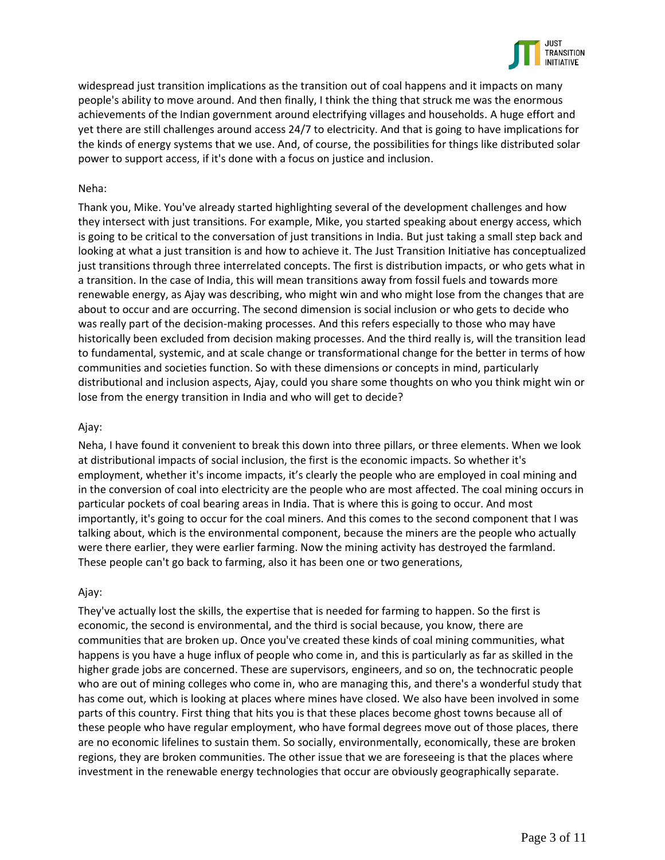

widespread just transition implications as the transition out of coal happens and it impacts on many people's ability to move around. And then finally, I think the thing that struck me was the enormous achievements of the Indian government around electrifying villages and households. A huge effort and yet there are still challenges around access 24/7 to electricity. And that is going to have implications for the kinds of energy systems that we use. And, of course, the possibilities for things like distributed solar power to support access, if it's done with a focus on justice and inclusion.

### Neha:

Thank you, Mike. You've already started highlighting several of the development challenges and how they intersect with just transitions. For example, Mike, you started speaking about energy access, which is going to be critical to the conversation of just transitions in India. But just taking a small step back and looking at what a just transition is and how to achieve it. The Just Transition Initiative has conceptualized just transitions through three interrelated concepts. The first is distribution impacts, or who gets what in a transition. In the case of India, this will mean transitions away from fossil fuels and towards more renewable energy, as Ajay was describing, who might win and who might lose from the changes that are about to occur and are occurring. The second dimension is social inclusion or who gets to decide who was really part of the decision-making processes. And this refers especially to those who may have historically been excluded from decision making processes. And the third really is, will the transition lead to fundamental, systemic, and at scale change or transformational change for the better in terms of how communities and societies function. So with these dimensions or concepts in mind, particularly distributional and inclusion aspects, Ajay, could you share some thoughts on who you think might win or lose from the energy transition in India and who will get to decide?

### Ajay:

Neha, I have found it convenient to break this down into three pillars, or three elements. When we look at distributional impacts of social inclusion, the first is the economic impacts. So whether it's employment, whether it's income impacts, it's clearly the people who are employed in coal mining and in the conversion of coal into electricity are the people who are most affected. The coal mining occurs in particular pockets of coal bearing areas in India. That is where this is going to occur. And most importantly, it's going to occur for the coal miners. And this comes to the second component that I was talking about, which is the environmental component, because the miners are the people who actually were there earlier, they were earlier farming. Now the mining activity has destroyed the farmland. These people can't go back to farming, also it has been one or two generations,

### Ajay:

They've actually lost the skills, the expertise that is needed for farming to happen. So the first is economic, the second is environmental, and the third is social because, you know, there are communities that are broken up. Once you've created these kinds of coal mining communities, what happens is you have a huge influx of people who come in, and this is particularly as far as skilled in the higher grade jobs are concerned. These are supervisors, engineers, and so on, the technocratic people who are out of mining colleges who come in, who are managing this, and there's a wonderful study that has come out, which is looking at places where mines have closed. We also have been involved in some parts of this country. First thing that hits you is that these places become ghost towns because all of these people who have regular employment, who have formal degrees move out of those places, there are no economic lifelines to sustain them. So socially, environmentally, economically, these are broken regions, they are broken communities. The other issue that we are foreseeing is that the places where investment in the renewable energy technologies that occur are obviously geographically separate.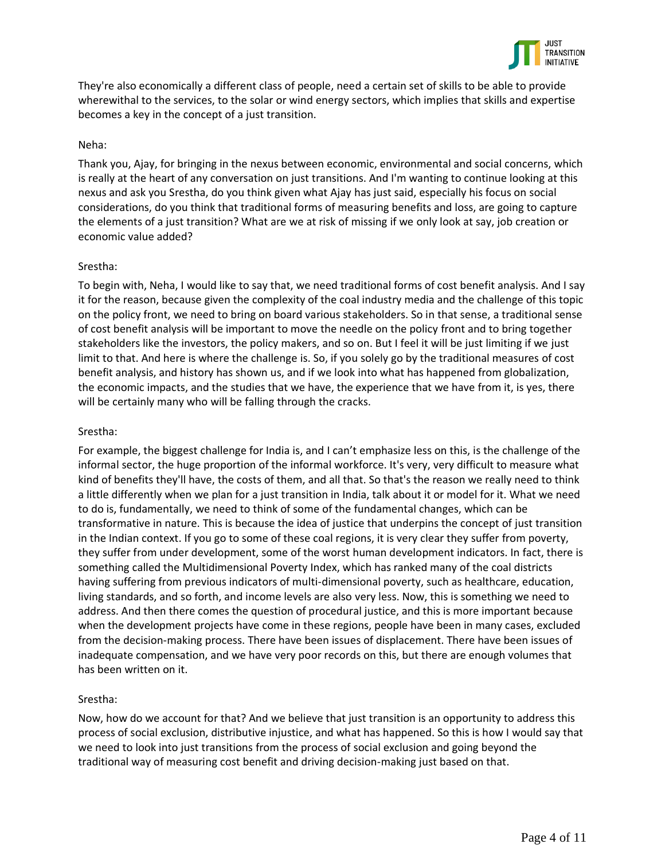

They're also economically a different class of people, need a certain set of skills to be able to provide wherewithal to the services, to the solar or wind energy sectors, which implies that skills and expertise becomes a key in the concept of a just transition.

### Neha:

Thank you, Ajay, for bringing in the nexus between economic, environmental and social concerns, which is really at the heart of any conversation on just transitions. And I'm wanting to continue looking at this nexus and ask you Srestha, do you think given what Ajay has just said, especially his focus on social considerations, do you think that traditional forms of measuring benefits and loss, are going to capture the elements of a just transition? What are we at risk of missing if we only look at say, job creation or economic value added?

### Srestha:

To begin with, Neha, I would like to say that, we need traditional forms of cost benefit analysis. And I say it for the reason, because given the complexity of the coal industry media and the challenge of this topic on the policy front, we need to bring on board various stakeholders. So in that sense, a traditional sense of cost benefit analysis will be important to move the needle on the policy front and to bring together stakeholders like the investors, the policy makers, and so on. But I feel it will be just limiting if we just limit to that. And here is where the challenge is. So, if you solely go by the traditional measures of cost benefit analysis, and history has shown us, and if we look into what has happened from globalization, the economic impacts, and the studies that we have, the experience that we have from it, is yes, there will be certainly many who will be falling through the cracks.

### Srestha:

For example, the biggest challenge for India is, and I can't emphasize less on this, is the challenge of the informal sector, the huge proportion of the informal workforce. It's very, very difficult to measure what kind of benefits they'll have, the costs of them, and all that. So that's the reason we really need to think a little differently when we plan for a just transition in India, talk about it or model for it. What we need to do is, fundamentally, we need to think of some of the fundamental changes, which can be transformative in nature. This is because the idea of justice that underpins the concept of just transition in the Indian context. If you go to some of these coal regions, it is very clear they suffer from poverty, they suffer from under development, some of the worst human development indicators. In fact, there is something called the Multidimensional Poverty Index, which has ranked many of the coal districts having suffering from previous indicators of multi-dimensional poverty, such as healthcare, education, living standards, and so forth, and income levels are also very less. Now, this is something we need to address. And then there comes the question of procedural justice, and this is more important because when the development projects have come in these regions, people have been in many cases, excluded from the decision-making process. There have been issues of displacement. There have been issues of inadequate compensation, and we have very poor records on this, but there are enough volumes that has been written on it.

## Srestha:

Now, how do we account for that? And we believe that just transition is an opportunity to address this process of social exclusion, distributive injustice, and what has happened. So this is how I would say that we need to look into just transitions from the process of social exclusion and going beyond the traditional way of measuring cost benefit and driving decision-making just based on that.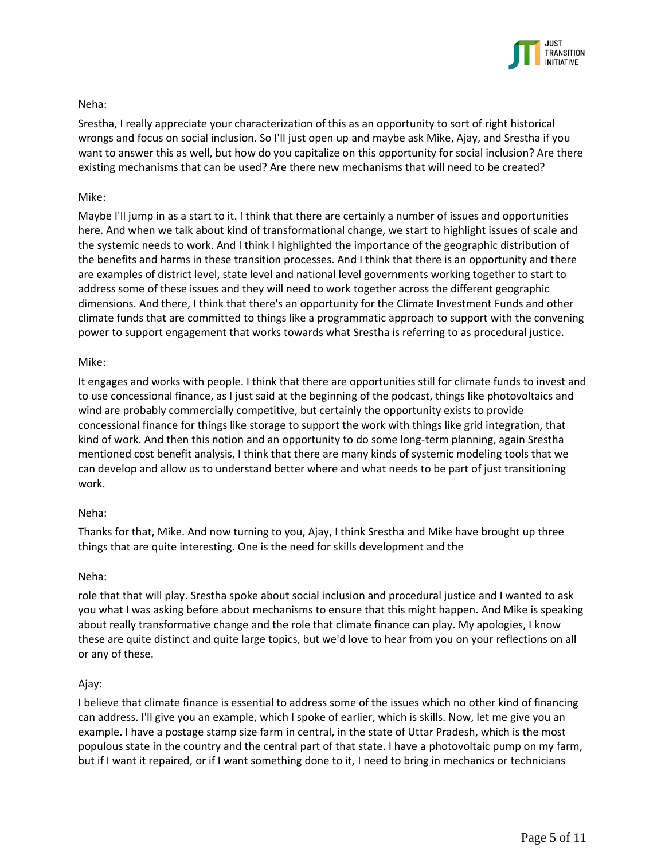

# Neha:

Srestha, I really appreciate your characterization of this as an opportunity to sort of right historical wrongs and focus on social inclusion. So I'll just open up and maybe ask Mike, Ajay, and Srestha if you want to answer this as well, but how do you capitalize on this opportunity for social inclusion? Are there existing mechanisms that can be used? Are there new mechanisms that will need to be created?

# Mike:

Maybe I'll jump in as a start to it. I think that there are certainly a number of issues and opportunities here. And when we talk about kind of transformational change, we start to highlight issues of scale and the systemic needs to work. And I think I highlighted the importance of the geographic distribution of the benefits and harms in these transition processes. And I think that there is an opportunity and there are examples of district level, state level and national level governments working together to start to address some of these issues and they will need to work together across the different geographic dimensions. And there, I think that there's an opportunity for the Climate Investment Funds and other climate funds that are committed to things like a programmatic approach to support with the convening power to support engagement that works towards what Srestha is referring to as procedural justice.

## Mike:

It engages and works with people. I think that there are opportunities still for climate funds to invest and to use concessional finance, as I just said at the beginning of the podcast, things like photovoltaics and wind are probably commercially competitive, but certainly the opportunity exists to provide concessional finance for things like storage to support the work with things like grid integration, that kind of work. And then this notion and an opportunity to do some long-term planning, again Srestha mentioned cost benefit analysis, I think that there are many kinds of systemic modeling tools that we can develop and allow us to understand better where and what needs to be part of just transitioning work.

## Neha:

Thanks for that, Mike. And now turning to you, Ajay, I think Srestha and Mike have brought up three things that are quite interesting. One is the need for skills development and the

## Neha:

role that that will play. Srestha spoke about social inclusion and procedural justice and I wanted to ask you what I was asking before about mechanisms to ensure that this might happen. And Mike is speaking about really transformative change and the role that climate finance can play. My apologies, I know these are quite distinct and quite large topics, but we'd love to hear from you on your reflections on all or any of these.

## Ajay:

I believe that climate finance is essential to address some of the issues which no other kind of financing can address. I'll give you an example, which I spoke of earlier, which is skills. Now, let me give you an example. I have a postage stamp size farm in central, in the state of Uttar Pradesh, which is the most populous state in the country and the central part of that state. I have a photovoltaic pump on my farm, but if I want it repaired, or if I want something done to it, I need to bring in mechanics or technicians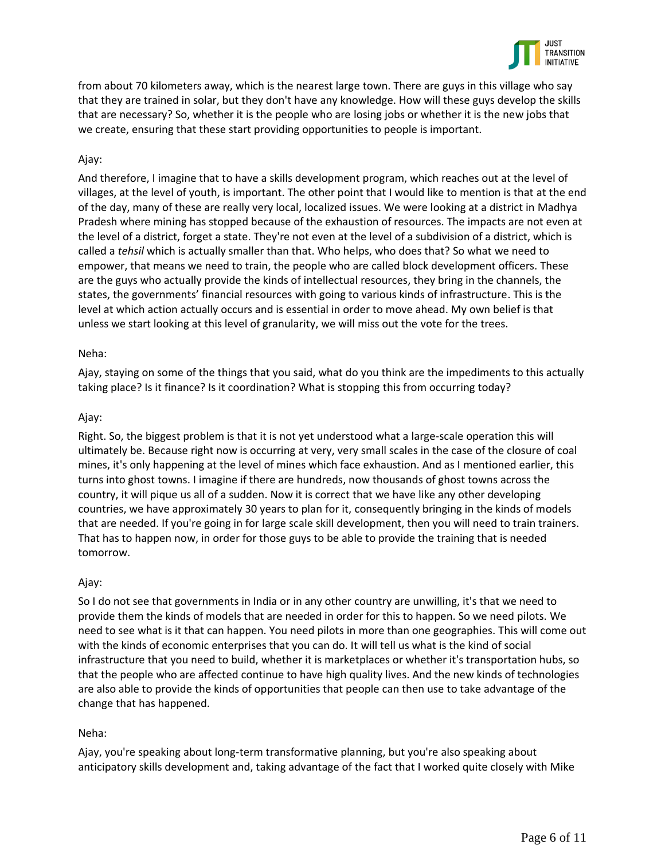

from about 70 kilometers away, which is the nearest large town. There are guys in this village who say that they are trained in solar, but they don't have any knowledge. How will these guys develop the skills that are necessary? So, whether it is the people who are losing jobs or whether it is the new jobs that we create, ensuring that these start providing opportunities to people is important.

# Ajay:

And therefore, I imagine that to have a skills development program, which reaches out at the level of villages, at the level of youth, is important. The other point that I would like to mention is that at the end of the day, many of these are really very local, localized issues. We were looking at a district in Madhya Pradesh where mining has stopped because of the exhaustion of resources. The impacts are not even at the level of a district, forget a state. They're not even at the level of a subdivision of a district, which is called a *tehsil* which is actually smaller than that. Who helps, who does that? So what we need to empower, that means we need to train, the people who are called block development officers. These are the guys who actually provide the kinds of intellectual resources, they bring in the channels, the states, the governments' financial resources with going to various kinds of infrastructure. This is the level at which action actually occurs and is essential in order to move ahead. My own belief is that unless we start looking at this level of granularity, we will miss out the vote for the trees.

## Neha:

Ajay, staying on some of the things that you said, what do you think are the impediments to this actually taking place? Is it finance? Is it coordination? What is stopping this from occurring today?

# Ajay:

Right. So, the biggest problem is that it is not yet understood what a large-scale operation this will ultimately be. Because right now is occurring at very, very small scales in the case of the closure of coal mines, it's only happening at the level of mines which face exhaustion. And as I mentioned earlier, this turns into ghost towns. I imagine if there are hundreds, now thousands of ghost towns across the country, it will pique us all of a sudden. Now it is correct that we have like any other developing countries, we have approximately 30 years to plan for it, consequently bringing in the kinds of models that are needed. If you're going in for large scale skill development, then you will need to train trainers. That has to happen now, in order for those guys to be able to provide the training that is needed tomorrow.

## Ajay:

So I do not see that governments in India or in any other country are unwilling, it's that we need to provide them the kinds of models that are needed in order for this to happen. So we need pilots. We need to see what is it that can happen. You need pilots in more than one geographies. This will come out with the kinds of economic enterprises that you can do. It will tell us what is the kind of social infrastructure that you need to build, whether it is marketplaces or whether it's transportation hubs, so that the people who are affected continue to have high quality lives. And the new kinds of technologies are also able to provide the kinds of opportunities that people can then use to take advantage of the change that has happened.

# Neha:

Ajay, you're speaking about long-term transformative planning, but you're also speaking about anticipatory skills development and, taking advantage of the fact that I worked quite closely with Mike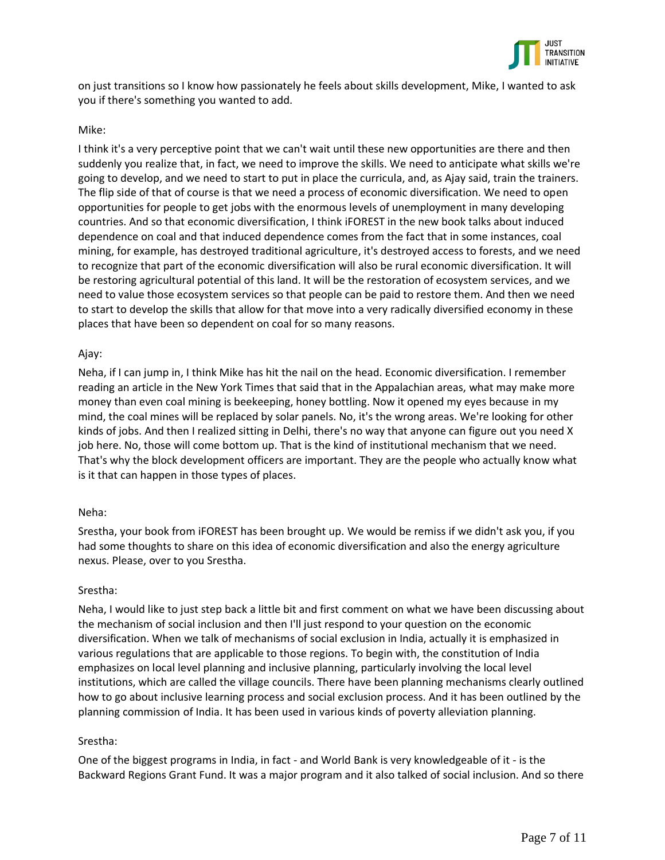

on just transitions so I know how passionately he feels about skills development, Mike, I wanted to ask you if there's something you wanted to add.

### Mike:

I think it's a very perceptive point that we can't wait until these new opportunities are there and then suddenly you realize that, in fact, we need to improve the skills. We need to anticipate what skills we're going to develop, and we need to start to put in place the curricula, and, as Ajay said, train the trainers. The flip side of that of course is that we need a process of economic diversification. We need to open opportunities for people to get jobs with the enormous levels of unemployment in many developing countries. And so that economic diversification, I think iFOREST in the new book talks about induced dependence on coal and that induced dependence comes from the fact that in some instances, coal mining, for example, has destroyed traditional agriculture, it's destroyed access to forests, and we need to recognize that part of the economic diversification will also be rural economic diversification. It will be restoring agricultural potential of this land. It will be the restoration of ecosystem services, and we need to value those ecosystem services so that people can be paid to restore them. And then we need to start to develop the skills that allow for that move into a very radically diversified economy in these places that have been so dependent on coal for so many reasons.

### Ajay:

Neha, if I can jump in, I think Mike has hit the nail on the head. Economic diversification. I remember reading an article in the New York Times that said that in the Appalachian areas, what may make more money than even coal mining is beekeeping, honey bottling. Now it opened my eyes because in my mind, the coal mines will be replaced by solar panels. No, it's the wrong areas. We're looking for other kinds of jobs. And then I realized sitting in Delhi, there's no way that anyone can figure out you need X job here. No, those will come bottom up. That is the kind of institutional mechanism that we need. That's why the block development officers are important. They are the people who actually know what is it that can happen in those types of places.

### Neha:

Srestha, your book from iFOREST has been brought up. We would be remiss if we didn't ask you, if you had some thoughts to share on this idea of economic diversification and also the energy agriculture nexus. Please, over to you Srestha.

### Srestha:

Neha, I would like to just step back a little bit and first comment on what we have been discussing about the mechanism of social inclusion and then I'll just respond to your question on the economic diversification. When we talk of mechanisms of social exclusion in India, actually it is emphasized in various regulations that are applicable to those regions. To begin with, the constitution of India emphasizes on local level planning and inclusive planning, particularly involving the local level institutions, which are called the village councils. There have been planning mechanisms clearly outlined how to go about inclusive learning process and social exclusion process. And it has been outlined by the planning commission of India. It has been used in various kinds of poverty alleviation planning.

## Srestha:

One of the biggest programs in India, in fact - and World Bank is very knowledgeable of it - is the Backward Regions Grant Fund. It was a major program and it also talked of social inclusion. And so there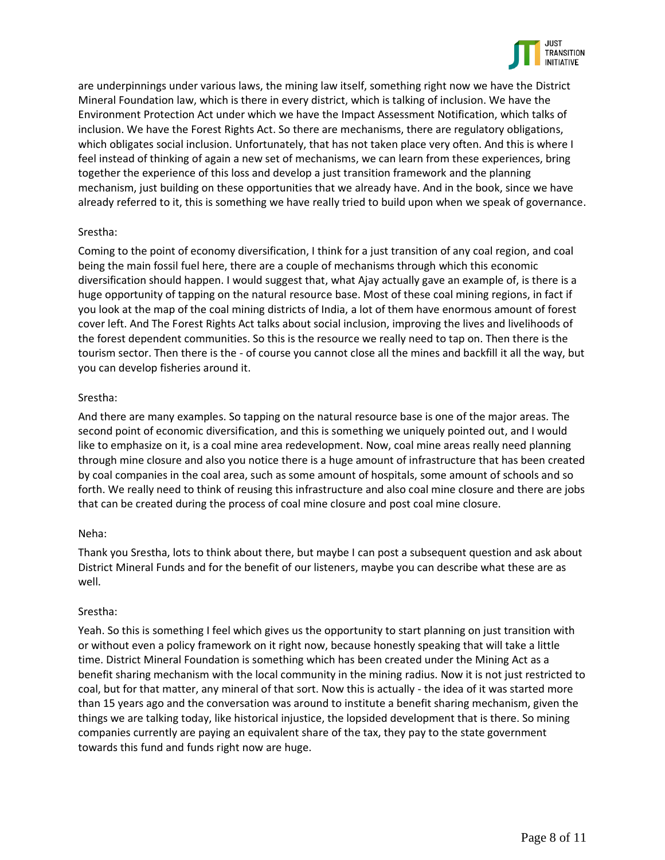

are underpinnings under various laws, the mining law itself, something right now we have the District Mineral Foundation law, which is there in every district, which is talking of inclusion. We have the Environment Protection Act under which we have the Impact Assessment Notification, which talks of inclusion. We have the Forest Rights Act. So there are mechanisms, there are regulatory obligations, which obligates social inclusion. Unfortunately, that has not taken place very often. And this is where I feel instead of thinking of again a new set of mechanisms, we can learn from these experiences, bring together the experience of this loss and develop a just transition framework and the planning mechanism, just building on these opportunities that we already have. And in the book, since we have already referred to it, this is something we have really tried to build upon when we speak of governance.

## Srestha:

Coming to the point of economy diversification, I think for a just transition of any coal region, and coal being the main fossil fuel here, there are a couple of mechanisms through which this economic diversification should happen. I would suggest that, what Ajay actually gave an example of, is there is a huge opportunity of tapping on the natural resource base. Most of these coal mining regions, in fact if you look at the map of the coal mining districts of India, a lot of them have enormous amount of forest cover left. And The Forest Rights Act talks about social inclusion, improving the lives and livelihoods of the forest dependent communities. So this is the resource we really need to tap on. Then there is the tourism sector. Then there is the - of course you cannot close all the mines and backfill it all the way, but you can develop fisheries around it.

## Srestha:

And there are many examples. So tapping on the natural resource base is one of the major areas. The second point of economic diversification, and this is something we uniquely pointed out, and I would like to emphasize on it, is a coal mine area redevelopment. Now, coal mine areas really need planning through mine closure and also you notice there is a huge amount of infrastructure that has been created by coal companies in the coal area, such as some amount of hospitals, some amount of schools and so forth. We really need to think of reusing this infrastructure and also coal mine closure and there are jobs that can be created during the process of coal mine closure and post coal mine closure.

## Neha:

Thank you Srestha, lots to think about there, but maybe I can post a subsequent question and ask about District Mineral Funds and for the benefit of our listeners, maybe you can describe what these are as well.

## Srestha:

Yeah. So this is something I feel which gives us the opportunity to start planning on just transition with or without even a policy framework on it right now, because honestly speaking that will take a little time. District Mineral Foundation is something which has been created under the Mining Act as a benefit sharing mechanism with the local community in the mining radius. Now it is not just restricted to coal, but for that matter, any mineral of that sort. Now this is actually - the idea of it was started more than 15 years ago and the conversation was around to institute a benefit sharing mechanism, given the things we are talking today, like historical injustice, the lopsided development that is there. So mining companies currently are paying an equivalent share of the tax, they pay to the state government towards this fund and funds right now are huge.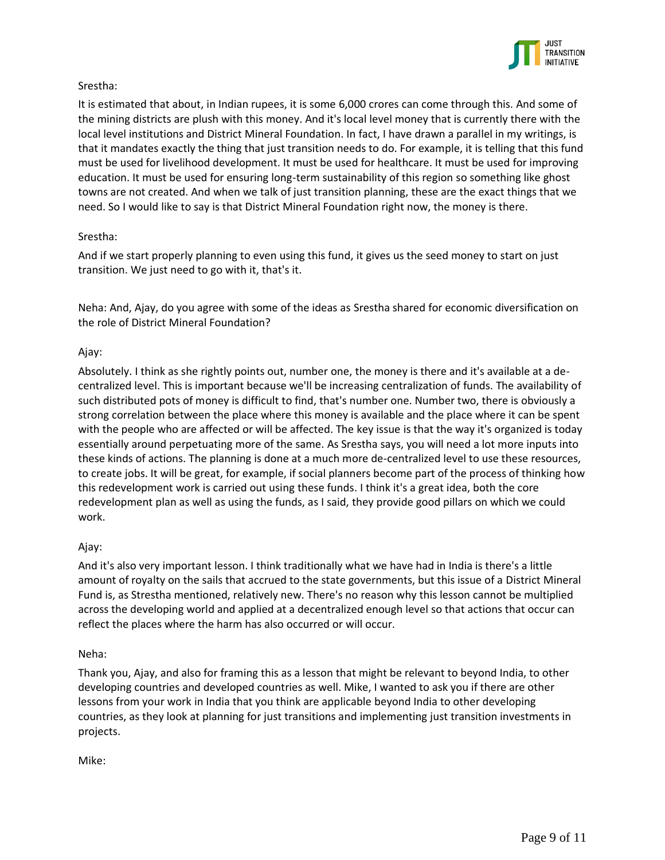

## Srestha:

It is estimated that about, in Indian rupees, it is some 6,000 crores can come through this. And some of the mining districts are plush with this money. And it's local level money that is currently there with the local level institutions and District Mineral Foundation. In fact, I have drawn a parallel in my writings, is that it mandates exactly the thing that just transition needs to do. For example, it is telling that this fund must be used for livelihood development. It must be used for healthcare. It must be used for improving education. It must be used for ensuring long-term sustainability of this region so something like ghost towns are not created. And when we talk of just transition planning, these are the exact things that we need. So I would like to say is that District Mineral Foundation right now, the money is there.

# Srestha:

And if we start properly planning to even using this fund, it gives us the seed money to start on just transition. We just need to go with it, that's it.

Neha: And, Ajay, do you agree with some of the ideas as Srestha shared for economic diversification on the role of District Mineral Foundation?

# Ajay:

Absolutely. I think as she rightly points out, number one, the money is there and it's available at a decentralized level. This is important because we'll be increasing centralization of funds. The availability of such distributed pots of money is difficult to find, that's number one. Number two, there is obviously a strong correlation between the place where this money is available and the place where it can be spent with the people who are affected or will be affected. The key issue is that the way it's organized is today essentially around perpetuating more of the same. As Srestha says, you will need a lot more inputs into these kinds of actions. The planning is done at a much more de-centralized level to use these resources, to create jobs. It will be great, for example, if social planners become part of the process of thinking how this redevelopment work is carried out using these funds. I think it's a great idea, both the core redevelopment plan as well as using the funds, as I said, they provide good pillars on which we could work.

## Ajay:

And it's also very important lesson. I think traditionally what we have had in India is there's a little amount of royalty on the sails that accrued to the state governments, but this issue of a District Mineral Fund is, as Strestha mentioned, relatively new. There's no reason why this lesson cannot be multiplied across the developing world and applied at a decentralized enough level so that actions that occur can reflect the places where the harm has also occurred or will occur.

## Neha:

Thank you, Ajay, and also for framing this as a lesson that might be relevant to beyond India, to other developing countries and developed countries as well. Mike, I wanted to ask you if there are other lessons from your work in India that you think are applicable beyond India to other developing countries, as they look at planning for just transitions and implementing just transition investments in projects.

Mike: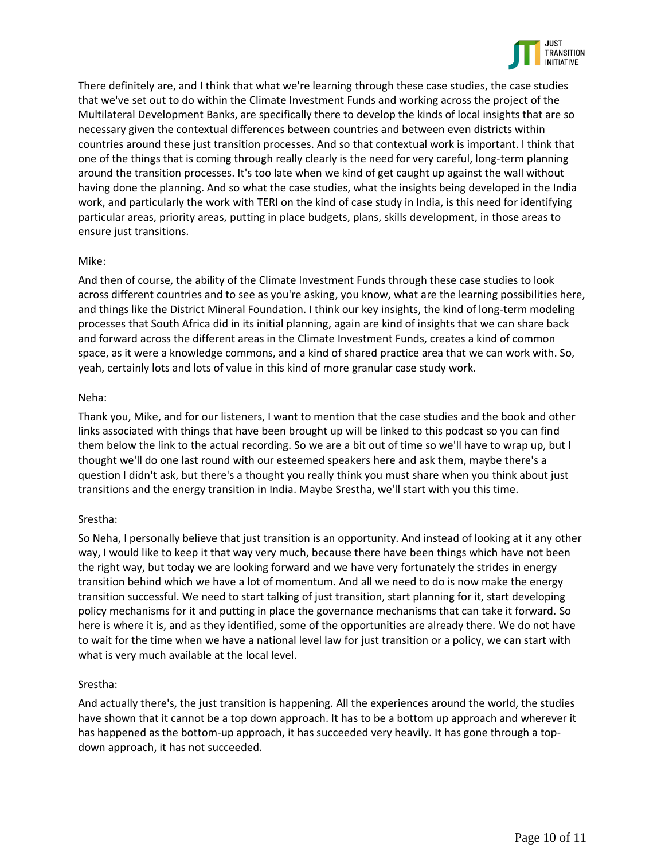

There definitely are, and I think that what we're learning through these case studies, the case studies that we've set out to do within the Climate Investment Funds and working across the project of the Multilateral Development Banks, are specifically there to develop the kinds of local insights that are so necessary given the contextual differences between countries and between even districts within countries around these just transition processes. And so that contextual work is important. I think that one of the things that is coming through really clearly is the need for very careful, long-term planning around the transition processes. It's too late when we kind of get caught up against the wall without having done the planning. And so what the case studies, what the insights being developed in the India work, and particularly the work with TERI on the kind of case study in India, is this need for identifying particular areas, priority areas, putting in place budgets, plans, skills development, in those areas to ensure just transitions.

### Mike:

And then of course, the ability of the Climate Investment Funds through these case studies to look across different countries and to see as you're asking, you know, what are the learning possibilities here, and things like the District Mineral Foundation. I think our key insights, the kind of long-term modeling processes that South Africa did in its initial planning, again are kind of insights that we can share back and forward across the different areas in the Climate Investment Funds, creates a kind of common space, as it were a knowledge commons, and a kind of shared practice area that we can work with. So, yeah, certainly lots and lots of value in this kind of more granular case study work.

### Neha:

Thank you, Mike, and for our listeners, I want to mention that the case studies and the book and other links associated with things that have been brought up will be linked to this podcast so you can find them below the link to the actual recording. So we are a bit out of time so we'll have to wrap up, but I thought we'll do one last round with our esteemed speakers here and ask them, maybe there's a question I didn't ask, but there's a thought you really think you must share when you think about just transitions and the energy transition in India. Maybe Srestha, we'll start with you this time.

## Srestha:

So Neha, I personally believe that just transition is an opportunity. And instead of looking at it any other way, I would like to keep it that way very much, because there have been things which have not been the right way, but today we are looking forward and we have very fortunately the strides in energy transition behind which we have a lot of momentum. And all we need to do is now make the energy transition successful. We need to start talking of just transition, start planning for it, start developing policy mechanisms for it and putting in place the governance mechanisms that can take it forward. So here is where it is, and as they identified, some of the opportunities are already there. We do not have to wait for the time when we have a national level law for just transition or a policy, we can start with what is very much available at the local level.

## Srestha:

And actually there's, the just transition is happening. All the experiences around the world, the studies have shown that it cannot be a top down approach. It has to be a bottom up approach and wherever it has happened as the bottom-up approach, it has succeeded very heavily. It has gone through a topdown approach, it has not succeeded.